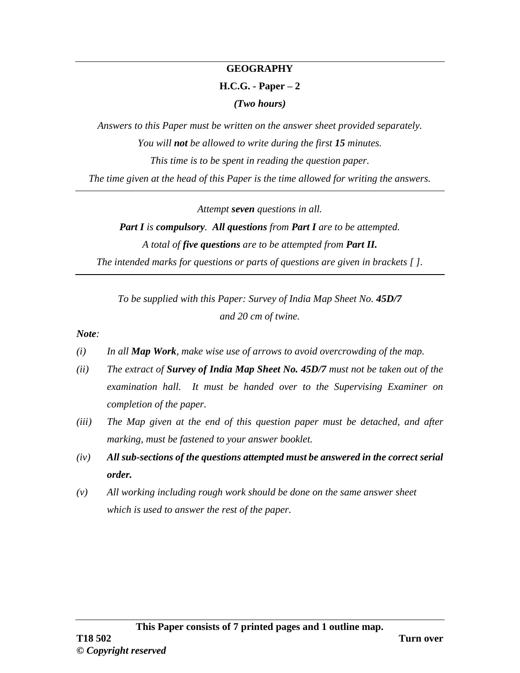#### **GEOGRAPHY**

#### **H.C.G. - Paper – 2**

*(Two hours)*

*Answers to this Paper must be written on the answer sheet provided separately. You will not be allowed to write during the first 15 minutes. This time is to be spent in reading the question paper. The time given at the head of this Paper is the time allowed for writing the answers.*

*Attempt seven questions in all.*

# *Part I is compulsory. All questions from Part I are to be attempted. A total of five questions are to be attempted from Part II.*

*The intended marks for questions or parts of questions are given in brackets [ ].*

*To be supplied with this Paper: Survey of India Map Sheet No. 45D/7 and 20 cm of twine.*

*Note:*

- *(i) In all Map Work, make wise use of arrows to avoid overcrowding of the map.*
- *(ii) The extract of Survey of India Map Sheet No. 45D/7 must not be taken out of the examination hall. It must be handed over to the Supervising Examiner on completion of the paper.*
- *(iii) The Map given at the end of this question paper must be detached, and after marking, must be fastened to your answer booklet.*
- *(iv) All sub-sections of the questions attempted must be answered in the correct serial order.*
- *(v) All working including rough work should be done on the same answer sheet which is used to answer the rest of the paper.*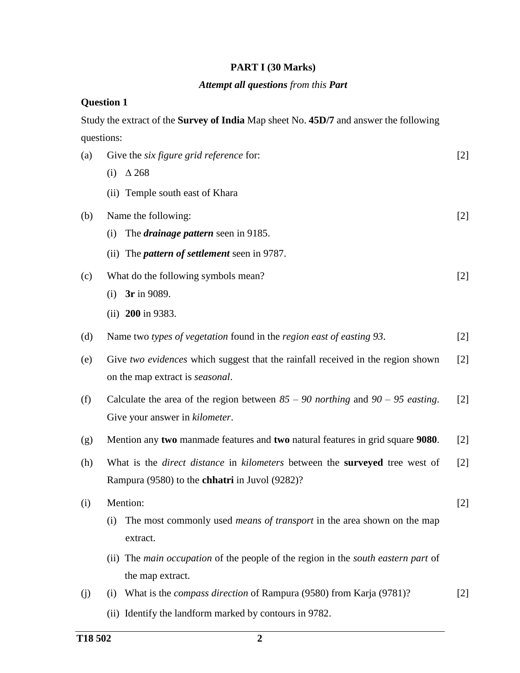### **PART I (30 Marks)**

# *Attempt all questions from this Part*

#### **Question 1**

Study the extract of the **Survey of India** Map sheet No. **45D/7** and answer the following questions:

| (a) | Give the <i>six figure grid reference</i> for:                                                   | $[2]$ |
|-----|--------------------------------------------------------------------------------------------------|-------|
|     | $\Delta$ 268<br>(i)                                                                              |       |
|     | (ii) Temple south east of Khara                                                                  |       |
| (b) | Name the following:                                                                              | $[2]$ |
|     | The <i>drainage pattern</i> seen in 9185.<br>(i)                                                 |       |
|     | The <i>pattern of settlement</i> seen in 9787.<br>(ii)                                           |       |
| (c) | What do the following symbols mean?                                                              | $[2]$ |
|     | 3r in 9089.<br>(i)                                                                               |       |
|     | (ii) $200$ in 9383.                                                                              |       |
| (d) | Name two types of vegetation found in the region east of easting 93.                             | $[2]$ |
| (e) | Give two evidences which suggest that the rainfall received in the region shown                  | [2]   |
|     | on the map extract is <i>seasonal</i> .                                                          |       |
| (f) | Calculate the area of the region between $85 - 90$ northing and $90 - 95$ easting.               | $[2]$ |
|     | Give your answer in kilometer.                                                                   |       |
| (g) | Mention any two manmade features and two natural features in grid square 9080.                   | $[2]$ |
| (h) | What is the <i>direct distance</i> in <i>kilometers</i> between the <b>surveyed</b> tree west of | [2]   |
|     | Rampura (9580) to the <b>chhatri</b> in Juvol (9282)?                                            |       |
| (i) | Mention:                                                                                         | $[2]$ |
|     | The most commonly used <i>means of transport</i> in the area shown on the map<br>(i)             |       |
|     | extract.                                                                                         |       |
|     | The main occupation of the people of the region in the south eastern part of<br>(ii)             |       |
|     | the map extract.                                                                                 |       |
| (j) | What is the <i>compass direction</i> of Rampura (9580) from Karja (9781)?<br>(i)                 | $[2]$ |
|     | (ii) Identify the landform marked by contours in 9782.                                           |       |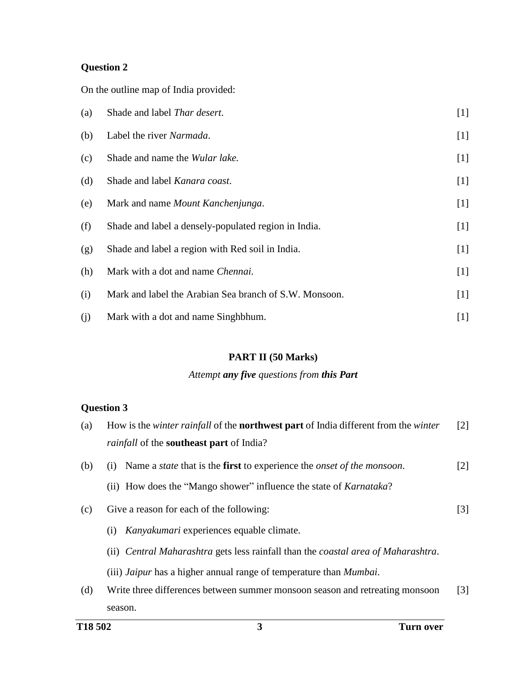On the outline map of India provided:

| (a) | Shade and label Thar desert.                           | $[1]$ |
|-----|--------------------------------------------------------|-------|
| (b) | Label the river Narmada.                               | $[1]$ |
| (c) | Shade and name the <i>Wular lake</i> .                 | $[1]$ |
| (d) | Shade and label Kanara coast.                          | $[1]$ |
| (e) | Mark and name Mount Kanchenjunga.                      | $[1]$ |
| (f) | Shade and label a densely-populated region in India.   | $[1]$ |
| (g) | Shade and label a region with Red soil in India.       | $[1]$ |
| (h) | Mark with a dot and name Chennai.                      | $[1]$ |
| (i) | Mark and label the Arabian Sea branch of S.W. Monsoon. | $[1]$ |
| (i) | Mark with a dot and name Singhbhum.                    | $[1]$ |

### **PART II (50 Marks)**

#### *Attempt any five questions from this Part*

| T <sub>18</sub> 50 <sub>2</sub> | 3<br>Turn over                                                                                      |  |
|---------------------------------|-----------------------------------------------------------------------------------------------------|--|
|                                 | season.                                                                                             |  |
| (d)                             | Write three differences between summer monsoon season and retreating monsoon                        |  |
|                                 | (iii) <i>Jaipur</i> has a higher annual range of temperature than <i>Mumbai</i> .                   |  |
|                                 | (ii) Central Maharashtra gets less rainfall than the coastal area of Maharashtra.                   |  |
|                                 | Kanyakumari experiences equable climate.<br>(i)                                                     |  |
| (c)                             | Give a reason for each of the following:                                                            |  |
|                                 | (ii) How does the "Mango shower" influence the state of <i>Karnataka</i> ?                          |  |
|                                 |                                                                                                     |  |
| (b)                             | Name a <i>state</i> that is the <b>first</b> to experience the <i>onset of the monsoon</i> .<br>(i) |  |
|                                 | <i>rainfall</i> of the <b>southeast part</b> of India?                                              |  |
| (a)                             | How is the winter rainfall of the <b>northwest part</b> of India different from the winter          |  |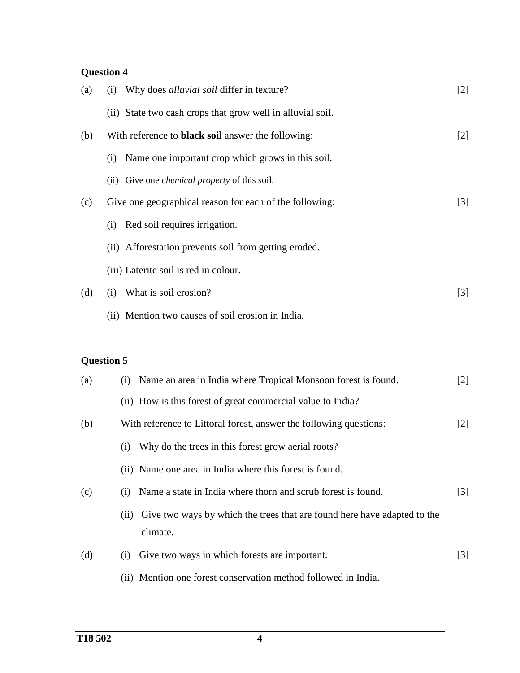| (a) | Why does <i>alluvial soil</i> differ in texture?<br>(i)    | $[2]$             |
|-----|------------------------------------------------------------|-------------------|
|     | (ii) State two cash crops that grow well in alluvial soil. |                   |
| (b) | With reference to <b>black soil</b> answer the following:  | $\lceil 2 \rceil$ |
|     | Name one important crop which grows in this soil.<br>(i)   |                   |
|     | (ii) Give one <i>chemical property</i> of this soil.       |                   |
| (c) | Give one geographical reason for each of the following:    | $[3]$             |
|     | Red soil requires irrigation.<br>(i)                       |                   |
|     | (ii) Afforestation prevents soil from getting eroded.      |                   |
|     | (iii) Laterite soil is red in colour.                      |                   |
| (d) | What is soil erosion?<br>(i)                               | $[3]$             |
|     | (ii) Mention two causes of soil erosion in India.          |                   |

| (a) | Name an area in India where Tropical Monsoon forest is found.<br>(1)                         | $[2]$             |
|-----|----------------------------------------------------------------------------------------------|-------------------|
|     | (ii) How is this forest of great commercial value to India?                                  |                   |
| (b) | With reference to Littoral forest, answer the following questions:                           | $\lceil 2 \rceil$ |
|     | Why do the trees in this forest grow aerial roots?<br>$\left( 1 \right)$                     |                   |
|     | (ii) Name one area in India where this forest is found.                                      |                   |
| (c) | Name a state in India where thorn and scrub forest is found.<br>(1)                          | $\lceil 3 \rceil$ |
|     | Give two ways by which the trees that are found here have adapted to the<br>(11)<br>climate. |                   |
| (d) | Give two ways in which forests are important.<br>(1)                                         | $\lceil 3 \rceil$ |
|     | (ii) Mention one forest conservation method followed in India.                               |                   |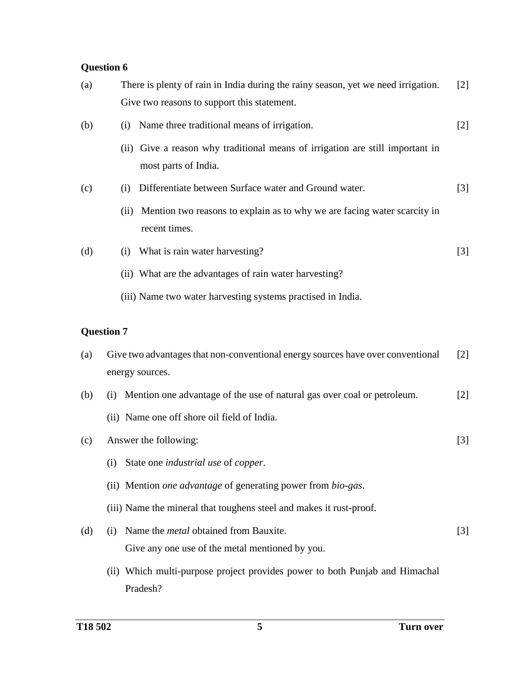| There is plenty of rain in India during the rainy season, yet we need irrigation.<br>(a)<br>Give two reasons to support this statement. |                   |                                                                                                       |       |  |
|-----------------------------------------------------------------------------------------------------------------------------------------|-------------------|-------------------------------------------------------------------------------------------------------|-------|--|
| (b)                                                                                                                                     | (i)               | Name three traditional means of irrigation.                                                           | $[2]$ |  |
|                                                                                                                                         |                   | (ii) Give a reason why traditional means of irrigation are still important in<br>most parts of India. |       |  |
| (c)                                                                                                                                     | (i)               | Differentiate between Surface water and Ground water.                                                 | $[3]$ |  |
|                                                                                                                                         | (ii)              | Mention two reasons to explain as to why we are facing water scarcity in<br>recent times.             |       |  |
| (d)                                                                                                                                     | (i)               | What is rain water harvesting?                                                                        | $[3]$ |  |
|                                                                                                                                         |                   | (ii) What are the advantages of rain water harvesting?                                                |       |  |
|                                                                                                                                         |                   | (iii) Name two water harvesting systems practised in India.                                           |       |  |
|                                                                                                                                         | <b>Question 7</b> |                                                                                                       |       |  |
| (a)                                                                                                                                     |                   | Give two advantages that non-conventional energy sources have over conventional<br>energy sources.    | $[2]$ |  |
| (b)                                                                                                                                     | (i)               | Mention one advantage of the use of natural gas over coal or petroleum.                               | $[2]$ |  |
|                                                                                                                                         |                   | (ii) Name one off shore oil field of India.                                                           |       |  |
| (c)                                                                                                                                     |                   | Answer the following:                                                                                 | $[3]$ |  |
|                                                                                                                                         | (i)               | State one industrial use of copper.                                                                   |       |  |
|                                                                                                                                         |                   | (ii) Mention <i>one advantage</i> of generating power from <i>bio-gas</i> .                           |       |  |
|                                                                                                                                         |                   | (iii) Name the mineral that toughens steel and makes it rust-proof.                                   |       |  |
| (d)                                                                                                                                     | (i)               | Name the <i>metal</i> obtained from Bauxite.<br>Give any one use of the metal mentioned by you.       | $[3]$ |  |
|                                                                                                                                         |                   | (ii) Which multi-purpose project provides power to both Punjab and Himachal                           |       |  |

(ii) Which multi-purpose project provides power to both Punjab and Himachal Pradesh?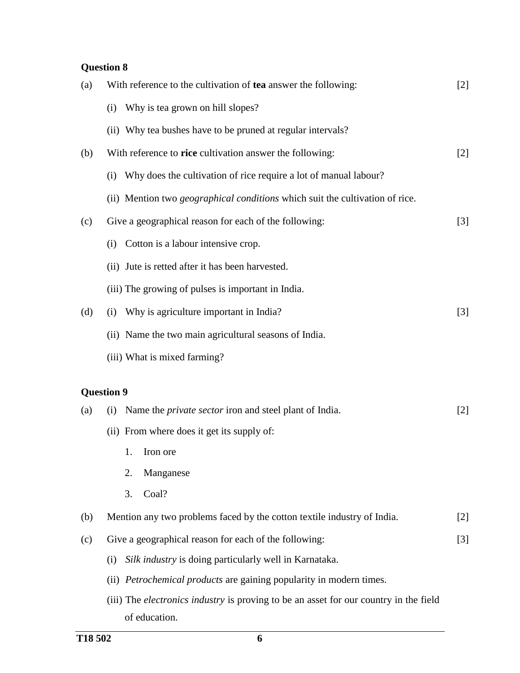| (a) | With reference to the cultivation of tea answer the following:                        | $[2]$             |
|-----|---------------------------------------------------------------------------------------|-------------------|
|     | Why is tea grown on hill slopes?<br>(i)                                               |                   |
|     | (ii) Why tea bushes have to be pruned at regular intervals?                           |                   |
| (b) | With reference to rice cultivation answer the following:                              | $[2]$             |
|     | Why does the cultivation of rice require a lot of manual labour?<br>(i)               |                   |
|     | (ii) Mention two geographical conditions which suit the cultivation of rice.          |                   |
| (c) | Give a geographical reason for each of the following:                                 | $[3]$             |
|     | Cotton is a labour intensive crop.<br>(i)                                             |                   |
|     | (ii) Jute is retted after it has been harvested.                                      |                   |
|     | (iii) The growing of pulses is important in India.                                    |                   |
| (d) | Why is agriculture important in India?<br>(i)                                         | $[3]$             |
|     | (ii) Name the two main agricultural seasons of India.                                 |                   |
|     | (iii) What is mixed farming?                                                          |                   |
|     | <b>Question 9</b>                                                                     |                   |
| (a) | Name the <i>private sector</i> iron and steel plant of India.<br>(i)                  | $[2]$             |
|     | (ii) From where does it get its supply of:                                            |                   |
|     | 1.<br>Iron ore                                                                        |                   |
|     | 2.<br>Manganese                                                                       |                   |
|     | Coal?<br>3.                                                                           |                   |
| (b) | Mention any two problems faced by the cotton textile industry of India.               | $\lceil 2 \rceil$ |
| (c) | Give a geographical reason for each of the following:                                 | $\lceil 3 \rceil$ |
|     | Silk industry is doing particularly well in Karnataka.<br>(i)                         |                   |
|     | <i>Petrochemical products</i> are gaining popularity in modern times.<br>(ii)         |                   |
|     | (iii) The electronics industry is proving to be an asset for our country in the field |                   |
|     | of education.                                                                         |                   |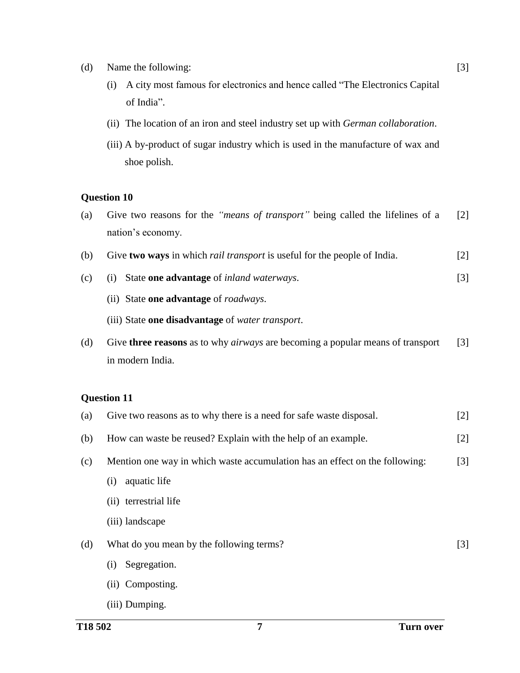- (d) Name the following:
	- (i) A city most famous for electronics and hence called "The Electronics Capital of India".
	- (ii) The location of an iron and steel industry set up with *German collaboration*.
	- (iii) A by-product of sugar industry which is used in the manufacture of wax and shoe polish.

- (a) Give two reasons for the *"means of transport"* being called the lifelines of a nation's economy. [2]
- (b) Give **two ways** in which *rail transport* is useful for the people of India. [2]
- (c) (i) State **one advantage** of *inland waterways*. [3]
	- (ii) State **one advantage** of *roadways*.
	- (iii) State **one disadvantage** of *water transport*.
- (d) Give **three reasons** as to why *airways* are becoming a popular means of transport in modern India. [3]

| (a) | Give two reasons as to why there is a need for safe waste disposal.         | $[2]$             |
|-----|-----------------------------------------------------------------------------|-------------------|
| (b) | How can waste be reused? Explain with the help of an example.               | $[2]$             |
| (c) | Mention one way in which waste accumulation has an effect on the following: | $\lceil 3 \rceil$ |
|     | aquatic life<br>(i)                                                         |                   |
|     | (ii) terrestrial life                                                       |                   |
|     | (iii) landscape                                                             |                   |
| (d) | What do you mean by the following terms?                                    | $\lceil 3 \rceil$ |
|     | Segregation.<br>(i)                                                         |                   |
|     | (ii) Composting.                                                            |                   |
|     | (iii) Dumping.                                                              |                   |